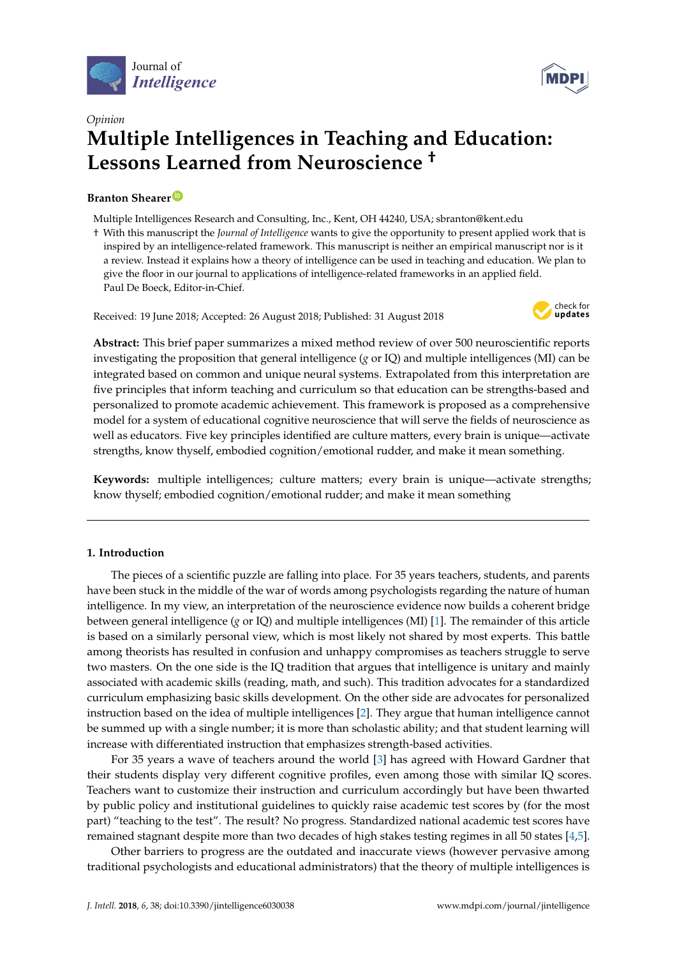



# *Opinion* **Multiple Intelligences in Teaching and Education: Lessons Learned from Neuroscience †**

# **Branton Shearer [ID](https://orcid.org/0000-0002-6464-1005)**

Multiple Intelligences Research and Consulting, Inc., Kent, OH 44240, USA; sbranton@kent.edu

† With this manuscript the *Journal of Intelligence* wants to give the opportunity to present applied work that is inspired by an intelligence-related framework. This manuscript is neither an empirical manuscript nor is it a review. Instead it explains how a theory of intelligence can be used in teaching and education. We plan to give the floor in our journal to applications of intelligence-related frameworks in an applied field. Paul De Boeck, Editor-in-Chief.

Received: 19 June 2018; Accepted: 26 August 2018; Published: 31 August 2018



**Abstract:** This brief paper summarizes a mixed method review of over 500 neuroscientific reports investigating the proposition that general intelligence (*g* or IQ) and multiple intelligences (MI) can be integrated based on common and unique neural systems. Extrapolated from this interpretation are five principles that inform teaching and curriculum so that education can be strengths-based and personalized to promote academic achievement. This framework is proposed as a comprehensive model for a system of educational cognitive neuroscience that will serve the fields of neuroscience as well as educators. Five key principles identified are culture matters, every brain is unique—activate strengths, know thyself, embodied cognition/emotional rudder, and make it mean something.

**Keywords:** multiple intelligences; culture matters; every brain is unique—activate strengths; know thyself; embodied cognition/emotional rudder; and make it mean something

# **1. Introduction**

The pieces of a scientific puzzle are falling into place. For 35 years teachers, students, and parents have been stuck in the middle of the war of words among psychologists regarding the nature of human intelligence. In my view, an interpretation of the neuroscience evidence now builds a coherent bridge between general intelligence (*g* or IQ) and multiple intelligences (MI) [\[1\]](#page-6-0). The remainder of this article is based on a similarly personal view, which is most likely not shared by most experts. This battle among theorists has resulted in confusion and unhappy compromises as teachers struggle to serve two masters. On the one side is the IQ tradition that argues that intelligence is unitary and mainly associated with academic skills (reading, math, and such). This tradition advocates for a standardized curriculum emphasizing basic skills development. On the other side are advocates for personalized instruction based on the idea of multiple intelligences [\[2\]](#page-6-1). They argue that human intelligence cannot be summed up with a single number; it is more than scholastic ability; and that student learning will increase with differentiated instruction that emphasizes strength-based activities.

For 35 years a wave of teachers around the world [\[3\]](#page-6-2) has agreed with Howard Gardner that their students display very different cognitive profiles, even among those with similar IQ scores. Teachers want to customize their instruction and curriculum accordingly but have been thwarted by public policy and institutional guidelines to quickly raise academic test scores by (for the most part) "teaching to the test". The result? No progress. Standardized national academic test scores have remained stagnant despite more than two decades of high stakes testing regimes in all 50 states [\[4,](#page-6-3)[5\]](#page-6-4).

Other barriers to progress are the outdated and inaccurate views (however pervasive among traditional psychologists and educational administrators) that the theory of multiple intelligences is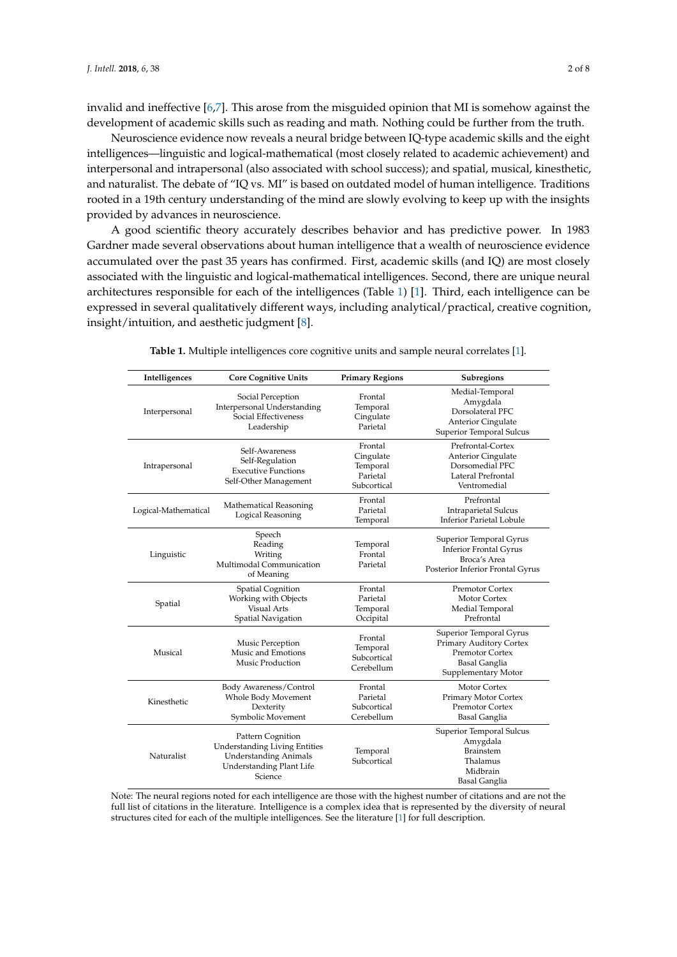invalid and ineffective [\[6,](#page-6-5)[7\]](#page-6-6). This arose from the misguided opinion that MI is somehow against the development of academic skills such as reading and math. Nothing could be further from the truth.

Neuroscience evidence now reveals a neural bridge between IQ-type academic skills and the eight intelligences—linguistic and logical-mathematical (most closely related to academic achievement) and interpersonal and intrapersonal (also associated with school success); and spatial, musical, kinesthetic, and naturalist. The debate of "IQ vs. MI" is based on outdated model of human intelligence. Traditions rooted in a 19th century understanding of the mind are slowly evolving to keep up with the insights provided by advances in neuroscience.

A good scientific theory accurately describes behavior and has predictive power. In 1983 Gardner made several observations about human intelligence that a wealth of neuroscience evidence accumulated over the past 35 years has confirmed. First, academic skills (and IQ) are most closely associated with the linguistic and logical-mathematical intelligences. Second, there are unique neural architectures responsible for each of the intelligences (Table [1\)](#page-1-0) [\[1\]](#page-6-0). Third, each intelligence can be expressed in several qualitatively different ways, including analytical/practical, creative cognition, insight/intuition, and aesthetic judgment [\[8\]](#page-6-7).

<span id="page-1-0"></span>

| Intelligences        | <b>Core Cognitive Units</b>                                                                                                      | <b>Primary Regions</b>                                      | Subregions                                                                                                           |  |  |  |  |  |
|----------------------|----------------------------------------------------------------------------------------------------------------------------------|-------------------------------------------------------------|----------------------------------------------------------------------------------------------------------------------|--|--|--|--|--|
| Interpersonal        | Social Perception<br>Interpersonal Understanding<br>Social Effectiveness<br>Leadership                                           | Frontal<br>Temporal<br>Cingulate<br>Parietal                | Medial-Temporal<br>Amygdala<br>Dorsolateral PFC<br><b>Anterior Cingulate</b><br>Superior Temporal Sulcus             |  |  |  |  |  |
| Intrapersonal        | Self-Awareness<br>Self-Regulation<br><b>Executive Functions</b><br>Self-Other Management                                         | Frontal<br>Cingulate<br>Temporal<br>Parietal<br>Subcortical | Prefrontal-Cortex<br>Anterior Cingulate<br>Dorsomedial PFC<br>Lateral Prefrontal<br>Ventromedial                     |  |  |  |  |  |
| Logical-Mathematical | Mathematical Reasoning<br>Logical Reasoning                                                                                      | Frontal<br>Parietal<br>Temporal                             | Prefrontal<br><b>Intraparietal Sulcus</b><br><b>Inferior Parietal Lobule</b>                                         |  |  |  |  |  |
| Linguistic           | Speech<br>Reading<br>Writing<br>Multimodal Communication<br>of Meaning                                                           | Temporal<br>Frontal<br>Parietal                             | Superior Temporal Gyrus<br><b>Inferior Frontal Gyrus</b><br>Broca's Area<br>Posterior Inferior Frontal Gyrus         |  |  |  |  |  |
| Spatial              | Spatial Cognition<br>Working with Objects<br>Visual Arts<br>Spatial Navigation                                                   | Frontal<br>Parietal<br>Temporal<br>Occipital                | <b>Premotor Cortex</b><br>Motor Cortex<br>Medial Temporal<br>Prefrontal                                              |  |  |  |  |  |
| Musical              | Music Perception<br>Music and Emotions<br>Music Production                                                                       | Frontal<br>Temporal<br>Subcortical<br>Cerebellum            | Superior Temporal Gyrus<br>Primary Auditory Cortex<br>Premotor Cortex<br><b>Basal Ganglia</b><br>Supplementary Motor |  |  |  |  |  |
| Kinesthetic          | Body Awareness/Control<br>Whole Body Movement<br>Dexterity<br>Symbolic Movement                                                  | Frontal<br>Parietal<br>Subcortical<br>Cerebellum            | <b>Motor Cortex</b><br>Primary Motor Cortex<br><b>Premotor Cortex</b><br>Basal Ganglia                               |  |  |  |  |  |
| Naturalist           | Pattern Cognition<br><b>Understanding Living Entities</b><br><b>Understanding Animals</b><br>Understanding Plant Life<br>Science | Temporal<br>Subcortical                                     | Superior Temporal Sulcus<br>Amygdala<br>Brainstem<br>Thalamus<br>Midbrain<br><b>Basal Ganglia</b>                    |  |  |  |  |  |

**Table 1.** Multiple intelligences core cognitive units and sample neural correlates [\[1\]](#page-6-0).

Note: The neural regions noted for each intelligence are those with the highest number of citations and are not the full list of citations in the literature. Intelligence is a complex idea that is represented by the diversity of neural structures cited for each of the multiple intelligences. See the literature [\[1\]](#page-6-0) for full description.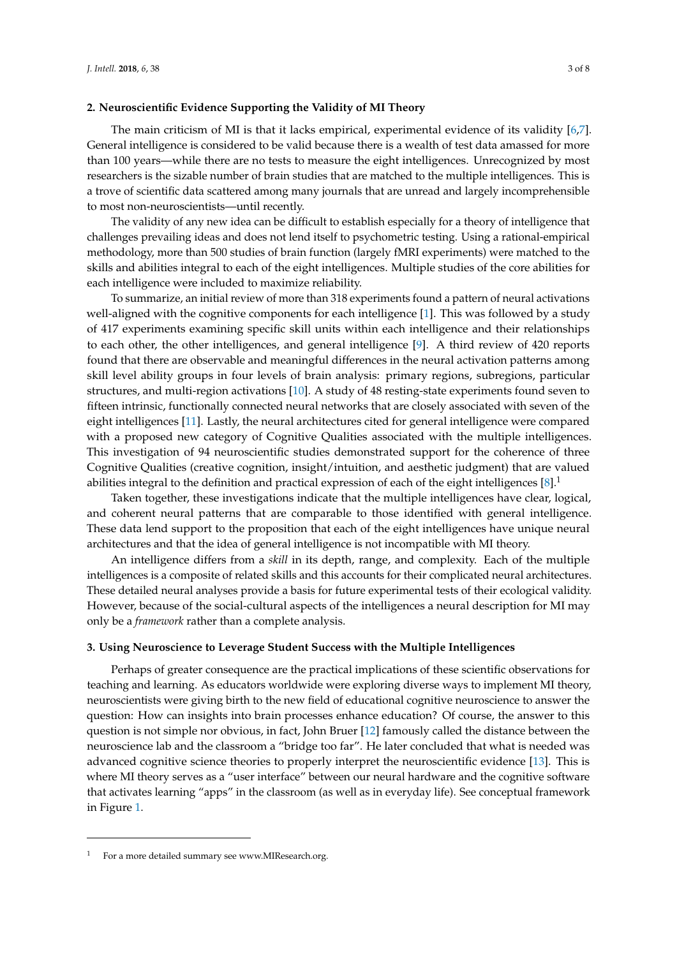### **2. Neuroscientific Evidence Supporting the Validity of MI Theory**

The main criticism of MI is that it lacks empirical, experimental evidence of its validity [\[6,](#page-6-5)[7\]](#page-6-6). General intelligence is considered to be valid because there is a wealth of test data amassed for more than 100 years—while there are no tests to measure the eight intelligences. Unrecognized by most researchers is the sizable number of brain studies that are matched to the multiple intelligences. This is a trove of scientific data scattered among many journals that are unread and largely incomprehensible to most non-neuroscientists—until recently.

The validity of any new idea can be difficult to establish especially for a theory of intelligence that challenges prevailing ideas and does not lend itself to psychometric testing. Using a rational-empirical methodology, more than 500 studies of brain function (largely fMRI experiments) were matched to the skills and abilities integral to each of the eight intelligences. Multiple studies of the core abilities for each intelligence were included to maximize reliability.

To summarize, an initial review of more than 318 experiments found a pattern of neural activations well-aligned with the cognitive components for each intelligence [\[1\]](#page-6-0). This was followed by a study of 417 experiments examining specific skill units within each intelligence and their relationships to each other, the other intelligences, and general intelligence [\[9\]](#page-6-8). A third review of 420 reports found that there are observable and meaningful differences in the neural activation patterns among skill level ability groups in four levels of brain analysis: primary regions, subregions, particular structures, and multi-region activations [\[10\]](#page-6-9). A study of 48 resting-state experiments found seven to fifteen intrinsic, functionally connected neural networks that are closely associated with seven of the eight intelligences [\[11\]](#page-6-10). Lastly, the neural architectures cited for general intelligence were compared with a proposed new category of Cognitive Qualities associated with the multiple intelligences. This investigation of 94 neuroscientific studies demonstrated support for the coherence of three Cognitive Qualities (creative cognition, insight/intuition, and aesthetic judgment) that are valued abilities integral to the definition and practical expression of each of the eight intelligences  $[8]$ .<sup>1</sup>

Taken together, these investigations indicate that the multiple intelligences have clear, logical, and coherent neural patterns that are comparable to those identified with general intelligence. These data lend support to the proposition that each of the eight intelligences have unique neural architectures and that the idea of general intelligence is not incompatible with MI theory.

An intelligence differs from a *skill* in its depth, range, and complexity. Each of the multiple intelligences is a composite of related skills and this accounts for their complicated neural architectures. These detailed neural analyses provide a basis for future experimental tests of their ecological validity. However, because of the social-cultural aspects of the intelligences a neural description for MI may only be a *framework* rather than a complete analysis.

#### **3. Using Neuroscience to Leverage Student Success with the Multiple Intelligences**

Perhaps of greater consequence are the practical implications of these scientific observations for teaching and learning. As educators worldwide were exploring diverse ways to implement MI theory, neuroscientists were giving birth to the new field of educational cognitive neuroscience to answer the question: How can insights into brain processes enhance education? Of course, the answer to this question is not simple nor obvious, in fact, John Bruer [\[12\]](#page-6-11) famously called the distance between the neuroscience lab and the classroom a "bridge too far". He later concluded that what is needed was advanced cognitive science theories to properly interpret the neuroscientific evidence [\[13\]](#page-6-12). This is where MI theory serves as a "user interface" between our neural hardware and the cognitive software that activates learning "apps" in the classroom (as well as in everyday life). See conceptual framework in Figure [1.](#page-3-0)

For a more detailed summary see www.MIResearch.org.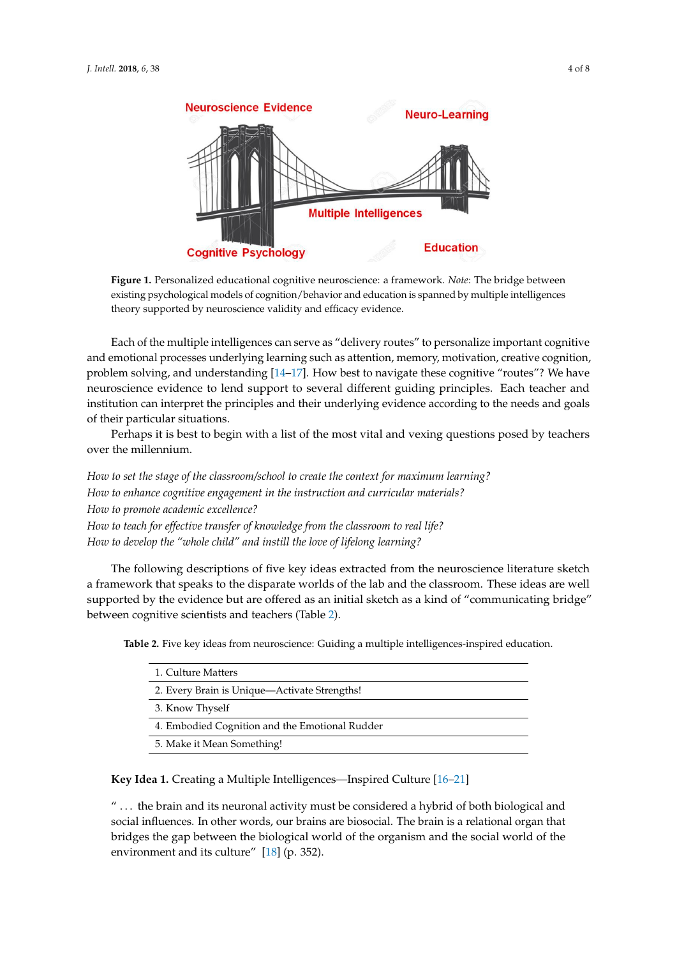<span id="page-3-0"></span>

**Figure 1.** Personalized educational cognitive neuroscience: a framework. *Note*: The bridge between **Figure 1.** Personalized educational cognitive neuroscience: a framework. *Note*: The bridge between existing psychological models of cognition/behavior and education is spanned by multiple existing psychological models of cognition/behavior and education is spanned by multiple intelligences theory supported by neuroscience validity and efficacy evidence.

Each of the multiple intelligences can serve as "delivery routes" to personalize important Each of the multiple intelligences can serve as "delivery routes" to personalize important cognitive and emotional processes underlying learning such as attention, memory, motivation, creative cognition, problem solving, a[nd](#page-6-13) [und](#page-6-14)erstanding [14–17]. How best to navigate these cognitive "routes"? We have neuroscience evidence to lend support to several different guiding principles. Each teacher and institution can interpret the principles and their underlying evidence according to the needs and goals of their particular situations.

Perhaps it is best to begin with a list of the most vital and vexing questions posed by teachers Perhaps it is best to begin with a list of the most vital and vexing questions posed by teachers over the millennium. over the millennium.

 *How to set the stage of the classroom/school to create the context for maximum learning? How to set the stage of the classroom/school to create the context for maximum learning? How to enhance cognitive engagement in the instruction and curricular materials? How to enhance cognitive engagement in the instruction and curricular materials? How to promote academic excellence? How to promote academic excellence? How to teach for effective transfer of knowledge from the classroom to real life? How to teach for effective transfer of knowledge from the classroom to real life? How to deal for effective transfer of milwalaze from the eassroom to real tyc. How to develop the "whole child" and instill the love of lifelong learning?*

The following descriptions of five key ideas extracted from the neuroscience literature sketch a framework that speaks to the disparate worlds of the lab and the classroom. These ideas are well supported by the evidence but are offered as an initial sketch as a kind of "communicating bridge" between cognitive scientists and teachers (Table [2\)](#page-3-1).

|  |  |  | <b>Table 2.</b> Five key ideas from neuroscience: Guiding a multiple intelligences-inspired education. |  |  |  |  |  |  |
|--|--|--|--------------------------------------------------------------------------------------------------------|--|--|--|--|--|--|
|  |  |  |                                                                                                        |  |  |  |  |  |  |

<span id="page-3-1"></span>

| 1. Culture Matters                             |
|------------------------------------------------|
| 2. Every Brain is Unique—Activate Strengths!   |
| 3. Know Thyself                                |
| 4. Embodied Cognition and the Emotional Rudder |
| 5. Make it Mean Something!                     |

**Key Idea 1.** Creating a Multiple Intelligences—Inspired Culture [\[16](#page-6-15)[–21\]](#page-6-16)

" ... the brain and its neuronal activity must be considered a hybrid of both biological and social influences. In other words, our brains are biosocial. The brain is a relational organ that bridges the gap between the biological world of the organism and the social world of the environment and its culture"  $[18]$  (p. 352).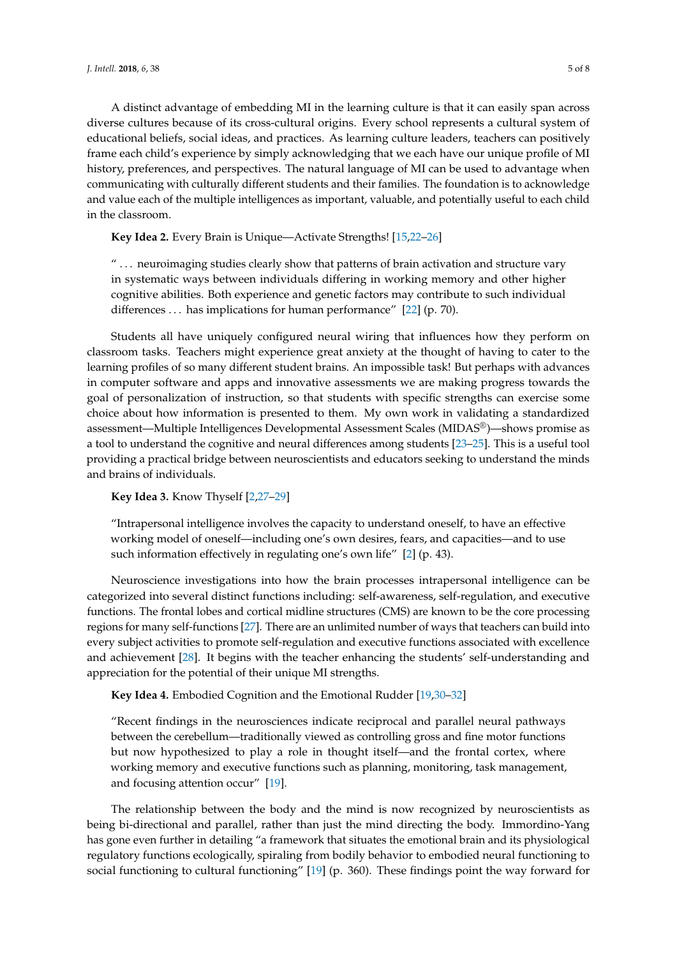A distinct advantage of embedding MI in the learning culture is that it can easily span across diverse cultures because of its cross-cultural origins. Every school represents a cultural system of educational beliefs, social ideas, and practices. As learning culture leaders, teachers can positively frame each child's experience by simply acknowledging that we each have our unique profile of MI history, preferences, and perspectives. The natural language of MI can be used to advantage when communicating with culturally different students and their families. The foundation is to acknowledge and value each of the multiple intelligences as important, valuable, and potentially useful to each child in the classroom.

**Key Idea 2.** Every Brain is Unique—Activate Strengths! [\[15,](#page-6-18)[22–](#page-6-19)[26\]](#page-7-0)

" . . . neuroimaging studies clearly show that patterns of brain activation and structure vary in systematic ways between individuals differing in working memory and other higher cognitive abilities. Both experience and genetic factors may contribute to such individual differences . . . has implications for human performance" [\[22\]](#page-6-19) (p. 70).

Students all have uniquely configured neural wiring that influences how they perform on classroom tasks. Teachers might experience great anxiety at the thought of having to cater to the learning profiles of so many different student brains. An impossible task! But perhaps with advances in computer software and apps and innovative assessments we are making progress towards the goal of personalization of instruction, so that students with specific strengths can exercise some choice about how information is presented to them. My own work in validating a standardized assessment—Multiple Intelligences Developmental Assessment Scales (MIDAS®)—shows promise as a tool to understand the cognitive and neural differences among students [\[23–](#page-7-1)[25\]](#page-7-2). This is a useful tool providing a practical bridge between neuroscientists and educators seeking to understand the minds and brains of individuals.

**Key Idea 3.** Know Thyself [\[2,](#page-6-1)[27–](#page-7-3)[29\]](#page-7-4)

"Intrapersonal intelligence involves the capacity to understand oneself, to have an effective working model of oneself—including one's own desires, fears, and capacities—and to use such information effectively in regulating one's own life" [\[2\]](#page-6-1) (p. 43).

Neuroscience investigations into how the brain processes intrapersonal intelligence can be categorized into several distinct functions including: self-awareness, self-regulation, and executive functions. The frontal lobes and cortical midline structures (CMS) are known to be the core processing regions for many self-functions [\[27\]](#page-7-3). There are an unlimited number of ways that teachers can build into every subject activities to promote self-regulation and executive functions associated with excellence and achievement [\[28\]](#page-7-5). It begins with the teacher enhancing the students' self-understanding and appreciation for the potential of their unique MI strengths.

**Key Idea 4.** Embodied Cognition and the Emotional Rudder [\[19](#page-6-20)[,30–](#page-7-6)[32\]](#page-7-7)

"Recent findings in the neurosciences indicate reciprocal and parallel neural pathways between the cerebellum—traditionally viewed as controlling gross and fine motor functions but now hypothesized to play a role in thought itself—and the frontal cortex, where working memory and executive functions such as planning, monitoring, task management, and focusing attention occur" [\[19\]](#page-6-20).

The relationship between the body and the mind is now recognized by neuroscientists as being bi-directional and parallel, rather than just the mind directing the body. Immordino-Yang has gone even further in detailing "a framework that situates the emotional brain and its physiological regulatory functions ecologically, spiraling from bodily behavior to embodied neural functioning to social functioning to cultural functioning" [\[19\]](#page-6-20) (p. 360). These findings point the way forward for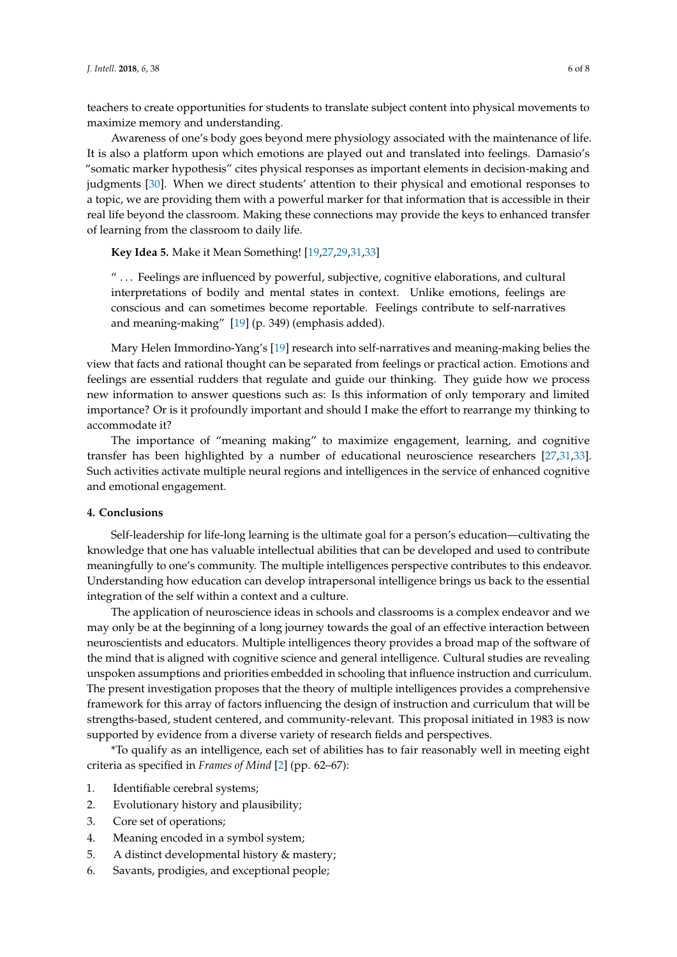teachers to create opportunities for students to translate subject content into physical movements to maximize memory and understanding.

Awareness of one's body goes beyond mere physiology associated with the maintenance of life. It is also a platform upon which emotions are played out and translated into feelings. Damasio's "somatic marker hypothesis" cites physical responses as important elements in decision-making and judgments [\[30\]](#page-7-6). When we direct students' attention to their physical and emotional responses to a topic, we are providing them with a powerful marker for that information that is accessible in their real life beyond the classroom. Making these connections may provide the keys to enhanced transfer of learning from the classroom to daily life.

**Key Idea 5.** Make it Mean Something! [\[19](#page-6-20)[,27](#page-7-3)[,29](#page-7-4)[,31](#page-7-8)[,33\]](#page-7-9)

" . . . Feelings are influenced by powerful, subjective, cognitive elaborations, and cultural interpretations of bodily and mental states in context. Unlike emotions, feelings are conscious and can sometimes become reportable. Feelings contribute to self-narratives and meaning-making" [\[19\]](#page-6-20) (p. 349) (emphasis added).

Mary Helen Immordino-Yang's [\[19\]](#page-6-20) research into self-narratives and meaning-making belies the view that facts and rational thought can be separated from feelings or practical action. Emotions and feelings are essential rudders that regulate and guide our thinking. They guide how we process new information to answer questions such as: Is this information of only temporary and limited importance? Or is it profoundly important and should I make the effort to rearrange my thinking to accommodate it?

The importance of "meaning making" to maximize engagement, learning, and cognitive transfer has been highlighted by a number of educational neuroscience researchers [\[27,](#page-7-3)[31,](#page-7-8)[33\]](#page-7-9). Such activities activate multiple neural regions and intelligences in the service of enhanced cognitive and emotional engagement.

#### **4. Conclusions**

Self-leadership for life-long learning is the ultimate goal for a person's education—cultivating the knowledge that one has valuable intellectual abilities that can be developed and used to contribute meaningfully to one's community. The multiple intelligences perspective contributes to this endeavor. Understanding how education can develop intrapersonal intelligence brings us back to the essential integration of the self within a context and a culture.

The application of neuroscience ideas in schools and classrooms is a complex endeavor and we may only be at the beginning of a long journey towards the goal of an effective interaction between neuroscientists and educators. Multiple intelligences theory provides a broad map of the software of the mind that is aligned with cognitive science and general intelligence. Cultural studies are revealing unspoken assumptions and priorities embedded in schooling that influence instruction and curriculum. The present investigation proposes that the theory of multiple intelligences provides a comprehensive framework for this array of factors influencing the design of instruction and curriculum that will be strengths-based, student centered, and community-relevant. This proposal initiated in 1983 is now supported by evidence from a diverse variety of research fields and perspectives.

\*To qualify as an intelligence, each set of abilities has to fair reasonably well in meeting eight criteria as specified in *Frames of Mind* [\[2\]](#page-6-1) (pp. 62–67):

- 1. Identifiable cerebral systems;
- 2. Evolutionary history and plausibility;
- 3. Core set of operations;
- 4. Meaning encoded in a symbol system;
- 5. A distinct developmental history & mastery;
- 6. Savants, prodigies, and exceptional people;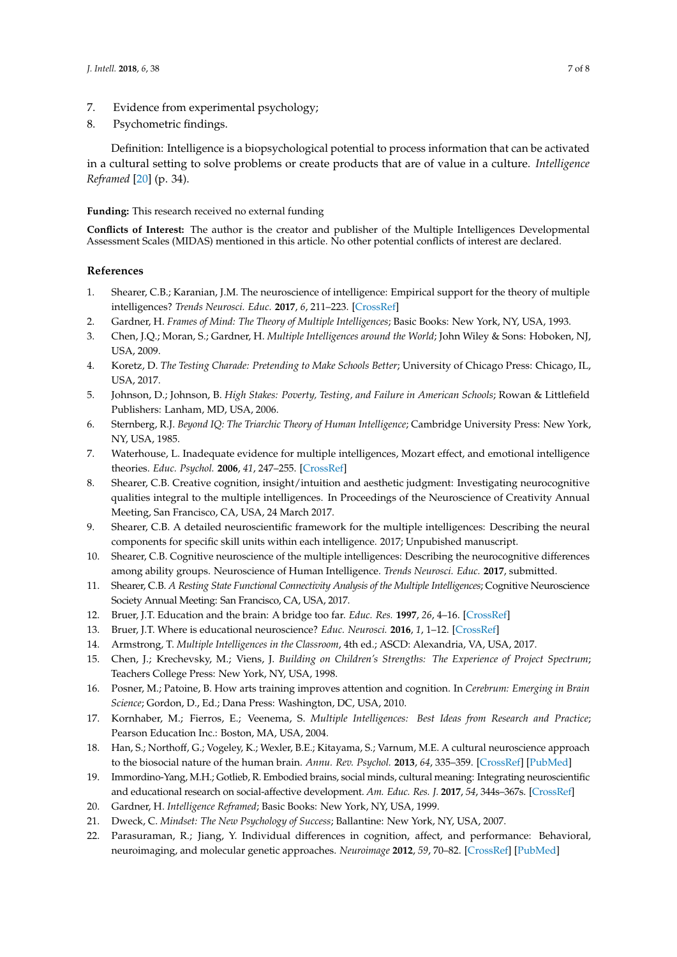- 7. Evidence from experimental psychology;
- 8. Psychometric findings.

Definition: Intelligence is a biopsychological potential to process information that can be activated in a cultural setting to solve problems or create products that are of value in a culture. *Intelligence Reframed* [\[20\]](#page-6-21) (p. 34).

## **Funding:** This research received no external funding

**Conflicts of Interest:** The author is the creator and publisher of the Multiple Intelligences Developmental Assessment Scales (MIDAS) mentioned in this article. No other potential conflicts of interest are declared.

## **References**

- <span id="page-6-0"></span>1. Shearer, C.B.; Karanian, J.M. The neuroscience of intelligence: Empirical support for the theory of multiple intelligences? *Trends Neurosci. Educ.* **2017**, *6*, 211–223. [\[CrossRef\]](http://dx.doi.org/10.1016/j.tine.2017.02.002)
- <span id="page-6-1"></span>2. Gardner, H. *Frames of Mind: The Theory of Multiple Intelligences*; Basic Books: New York, NY, USA, 1993.
- <span id="page-6-2"></span>3. Chen, J.Q.; Moran, S.; Gardner, H. *Multiple Intelligences around the World*; John Wiley & Sons: Hoboken, NJ, USA, 2009.
- <span id="page-6-3"></span>4. Koretz, D. *The Testing Charade: Pretending to Make Schools Better*; University of Chicago Press: Chicago, IL, USA, 2017.
- <span id="page-6-4"></span>5. Johnson, D.; Johnson, B. *High Stakes: Poverty, Testing, and Failure in American Schools*; Rowan & Littlefield Publishers: Lanham, MD, USA, 2006.
- <span id="page-6-5"></span>6. Sternberg, R.J. *Beyond IQ: The Triarchic Theory of Human Intelligence*; Cambridge University Press: New York, NY, USA, 1985.
- <span id="page-6-6"></span>7. Waterhouse, L. Inadequate evidence for multiple intelligences, Mozart effect, and emotional intelligence theories. *Educ. Psychol.* **2006**, *41*, 247–255. [\[CrossRef\]](http://dx.doi.org/10.1207/s15326985ep4104_5)
- <span id="page-6-7"></span>8. Shearer, C.B. Creative cognition, insight/intuition and aesthetic judgment: Investigating neurocognitive qualities integral to the multiple intelligences. In Proceedings of the Neuroscience of Creativity Annual Meeting, San Francisco, CA, USA, 24 March 2017.
- <span id="page-6-8"></span>9. Shearer, C.B. A detailed neuroscientific framework for the multiple intelligences: Describing the neural components for specific skill units within each intelligence. 2017; Unpubished manuscript.
- <span id="page-6-9"></span>10. Shearer, C.B. Cognitive neuroscience of the multiple intelligences: Describing the neurocognitive differences among ability groups. Neuroscience of Human Intelligence. *Trends Neurosci. Educ.* **2017**, submitted.
- <span id="page-6-10"></span>11. Shearer, C.B. *A Resting State Functional Connectivity Analysis of the Multiple Intelligences*; Cognitive Neuroscience Society Annual Meeting: San Francisco, CA, USA, 2017.
- <span id="page-6-11"></span>12. Bruer, J.T. Education and the brain: A bridge too far. *Educ. Res.* **1997**, *26*, 4–16. [\[CrossRef\]](http://dx.doi.org/10.3102/0013189X026008004)
- <span id="page-6-12"></span>13. Bruer, J.T. Where is educational neuroscience? *Educ. Neurosci.* **2016**, *1*, 1–12. [\[CrossRef\]](http://dx.doi.org/10.1177/2377616115618036)
- <span id="page-6-13"></span>14. Armstrong, T. *Multiple Intelligences in the Classroom*, 4th ed.; ASCD: Alexandria, VA, USA, 2017.
- <span id="page-6-18"></span>15. Chen, J.; Krechevsky, M.; Viens, J. *Building on Children's Strengths: The Experience of Project Spectrum*; Teachers College Press: New York, NY, USA, 1998.
- <span id="page-6-15"></span>16. Posner, M.; Patoine, B. How arts training improves attention and cognition. In *Cerebrum: Emerging in Brain Science*; Gordon, D., Ed.; Dana Press: Washington, DC, USA, 2010.
- <span id="page-6-14"></span>17. Kornhaber, M.; Fierros, E.; Veenema, S. *Multiple Intelligences: Best Ideas from Research and Practice*; Pearson Education Inc.: Boston, MA, USA, 2004.
- <span id="page-6-17"></span>18. Han, S.; Northoff, G.; Vogeley, K.; Wexler, B.E.; Kitayama, S.; Varnum, M.E. A cultural neuroscience approach to the biosocial nature of the human brain. *Annu. Rev. Psychol.* **2013**, *64*, 335–359. [\[CrossRef\]](http://dx.doi.org/10.1146/annurev-psych-071112-054629) [\[PubMed\]](http://www.ncbi.nlm.nih.gov/pubmed/22994921)
- <span id="page-6-20"></span>19. Immordino-Yang, M.H.; Gotlieb, R. Embodied brains, social minds, cultural meaning: Integrating neuroscientific and educational research on social-affective development. *Am. Educ. Res. J.* **2017**, *54*, 344s–367s. [\[CrossRef\]](http://dx.doi.org/10.3102/0002831216669780)
- <span id="page-6-21"></span><span id="page-6-16"></span>20. Gardner, H. *Intelligence Reframed*; Basic Books: New York, NY, USA, 1999.
- <span id="page-6-19"></span>21. Dweck, C. *Mindset: The New Psychology of Success*; Ballantine: New York, NY, USA, 2007.
- 22. Parasuraman, R.; Jiang, Y. Individual differences in cognition, affect, and performance: Behavioral, neuroimaging, and molecular genetic approaches. *Neuroimage* **2012**, *59*, 70–82. [\[CrossRef\]](http://dx.doi.org/10.1016/j.neuroimage.2011.04.040) [\[PubMed\]](http://www.ncbi.nlm.nih.gov/pubmed/21569853)